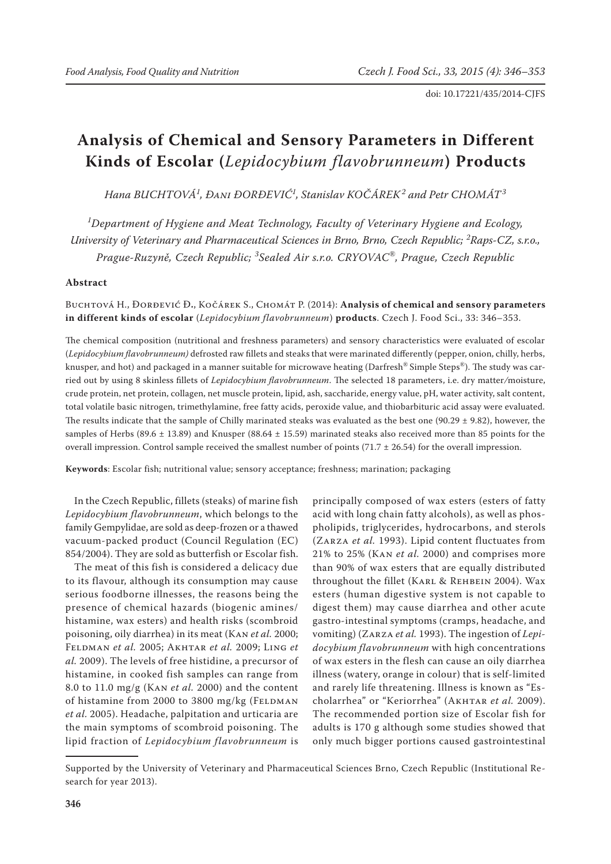# **Analysis of Chemical and Sensory Parameters in Different Kinds of Escolar (***Lepidocybium flavobrunneum***) Products**

*Hana BUCHTOVÁ<sup>1</sup> , Đani ĐORĐEVIĆ<sup>1</sup> , Stanislav KOČÁREK<sup>2</sup> and Petr CHOMÁT<sup>3</sup>*

*1 Department of Hygiene and Meat Technology, Faculty of Veterinary Hygiene and Ecology, University of Veterinary and Pharmaceutical Sciences in Brno, Brno, Czech Republic; <sup>2</sup> Raps-CZ, s.r.o., Prague-Ruzyně, Czech Republic; <sup>3</sup> Sealed Air s.r.o. CRYOVAC®, Prague, Czech Republic*

#### **Abstract**

Buchtová H., Đorđević Đ**.**, Kočárek S., Chomát P. (2014): **Analysis of chemical and sensory parameters in different kinds of escolar** (*Lepidocybium flavobrunneum*) **products**. Czech J. Food Sci., 33: 346–353.

The chemical composition (nutritional and freshness parameters) and sensory characteristics were evaluated of escolar (*Lepidocybium flavobrunneum)* defrosted raw fillets and steaks that were marinated differently (pepper, onion, chilly, herbs, knusper, and hot) and packaged in a manner suitable for microwave heating (Darfresh® Simple Steps®). The study was carried out by using 8 skinless fillets of *Lepidocybium flavobrunneum*. The selected 18 parameters, i.e. dry matter*/*moisture, crude protein, net protein, collagen, net muscle protein, lipid, ash, saccharide, energy value, pH, water activity, salt content, total volatile basic nitrogen, trimethylamine, free fatty acids, peroxide value, and thiobarbituric acid assay were evaluated. The results indicate that the sample of Chilly marinated steaks was evaluated as the best one (90.29  $\pm$  9.82), however, the samples of Herbs (89.6  $\pm$  13.89) and Knusper (88.64  $\pm$  15.59) marinated steaks also received more than 85 points for the overall impression. Control sample received the smallest number of points (71.7  $\pm$  26.54) for the overall impression.

**Keywords**: Escolar fish; nutritional value; sensory acceptance; freshness; marination; packaging

In the Czech Republic, fillets (steaks) of marine fish *Lepidocybium flavobrunneum*, which belongs to the family Gempylidae, are sold as deep-frozen or a thawed vacuum-packed product (Council Regulation (EC) 854/2004). They are sold as butterfish or Escolar fish.

The meat of this fish is considered a delicacy due to its flavour, although its consumption may cause serious foodborne illnesses, the reasons being the presence of chemical hazards (biogenic amines/ histamine, wax esters) and health risks (scombroid poisoning, oily diarrhea) in its meat (Kan *et al.* 2000; Feldman *et al.* 2005; Akhtar *et al.* 2009; Ling *et al.* 2009). The levels of free histidine, a precursor of histamine, in cooked fish samples can range from 8.0 to 11.0 mg/g (Kan *et al.* 2000) and the content of histamine from 2000 to 3800 mg/kg (FELDMAN *et al.* 2005). Headache, palpitation and urticaria are the main symptoms of scombroid poisoning. The lipid fraction of *Lepidocybium flavobrunneum* is

principally composed of wax esters (esters of fatty acid with long chain fatty alcohols), as well as phospholipids, triglycerides, hydrocarbons, and sterols (Zarza *et al.* 1993). Lipid content fluctuates from 21% to 25% (Kan *et al.* 2000) and comprises more than 90% of wax esters that are equally distributed throughout the fillet (Karl & Rehbein 2004). Wax esters (human digestive system is not capable to digest them) may cause diarrhea and other acute gastro-intestinal symptoms (cramps, headache, and vomiting) (Zarza *et al.* 1993). The ingestion of *Lepidocybium flavobrunneum* with high concentrations of wax esters in the flesh can cause an oily diarrhea illness (watery, orange in colour) that is self-limited and rarely life threatening. Illness is known as "Escholarrhea" or "Keriorrhea" (AKHTAR et al. 2009). The recommended portion size of Escolar fish for adults is 170 g although some studies showed that only much bigger portions caused gastrointestinal

Supported by the University of Veterinary and Pharmaceutical Sciences Brno, Czech Republic (Institutional Research for year 2013).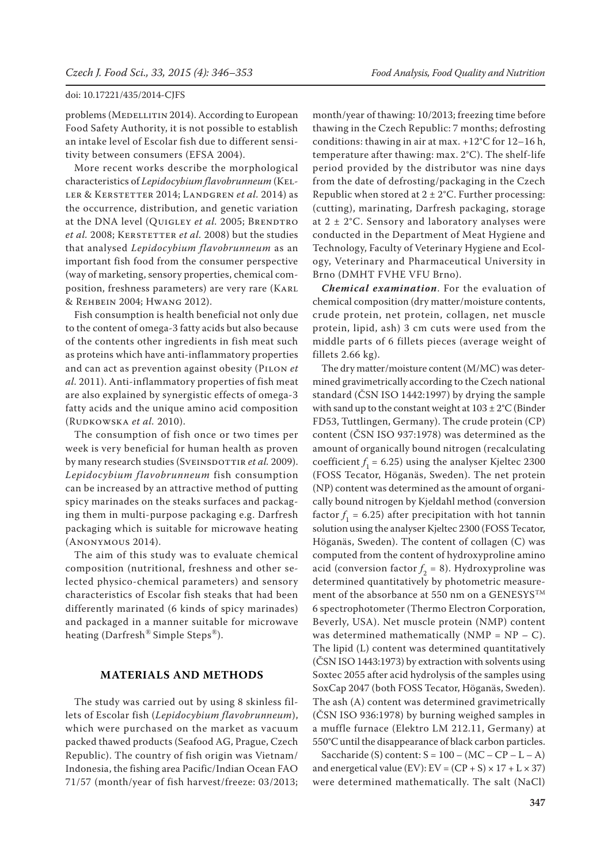problems (MEDELLITIN 2014). According to European Food Safety Authority, it is not possible to establish an intake level of Escolar fish due to different sensitivity between consumers (EFSA 2004).

More recent works describe the morphological characteristics of *Lepidocybium flavobrunneum* (Keller & Kerstetter 2014; Landgren *et al.* 2014) as the occurrence, distribution, and genetic variation at the DNA level (OUIGLEY *et al.* 2005; BRENDTRO *et al.* 2008; KERSTETTER *et al.* 2008) but the studies that analysed *Lepidocybium flavobrunneum* as an important fish food from the consumer perspective (way of marketing, sensory properties, chemical composition, freshness parameters) are very rare (Karl & Rehbein 2004; Hwang 2012).

Fish consumption is health beneficial not only due to the content of omega-3 fatty acids but also because of the contents other ingredients in fish meat such as proteins which have anti-inflammatory properties and can act as prevention against obesity (Pilon *et al.* 2011). Anti-inflammatory properties of fish meat are also explained by synergistic effects of omega-3 fatty acids and the unique amino acid composition (Rudkowska *et al.* 2010).

The consumption of fish once or two times per week is very beneficial for human health as proven by many research studies (SVEINSDOTTIR et al. 2009). *Lepidocybium flavobrunneum* fish consumption can be increased by an attractive method of putting spicy marinades on the steaks surfaces and packaging them in multi-purpose packaging e.g. Darfresh packaging which is suitable for microwave heating (Anonymous 2014).

The aim of this study was to evaluate chemical composition (nutritional, freshness and other selected physico-chemical parameters) and sensory characteristics of Escolar fish steaks that had been differently marinated (6 kinds of spicy marinades) and packaged in a manner suitable for microwave heating (Darfresh*®* Simple Steps*®*).

## **MATERIALS AND METHODS**

The study was carried out by using 8 skinless fillets of Escolar fish (*Lepidocybium flavobrunneum*), which were purchased on the market as vacuum packed thawed products (Seafood AG, Prague, Czech Republic). The country of fish origin was Vietnam/ Indonesia, the fishing area Pacific/Indian Ocean FAO 71/57 (month/year of fish harvest/freeze: 03/2013;

month/year of thawing: 10/2013; freezing time before thawing in the Czech Republic: 7 months; defrosting conditions: thawing in air at max. +12°C for 12–16 h, temperature after thawing: max. 2°C). The shelf-life period provided by the distributor was nine days from the date of defrosting/packaging in the Czech Republic when stored at  $2 \pm 2$ °C. Further processing: (cutting), marinating, Darfresh packaging, storage at  $2 \pm 2$ °C. Sensory and laboratory analyses were conducted in the Department of Meat Hygiene and Technology, Faculty of Veterinary Hygiene and Ecology, Veterinary and Pharmaceutical University in Brno (DMHT FVHE VFU Brno).

*Chemical examination*. For the evaluation of chemical composition (dry matter/moisture contents, crude protein, net protein, collagen, net muscle protein, lipid, ash) 3 cm cuts were used from the middle parts of 6 fillets pieces (average weight of fillets 2.66 kg).

The dry matter/moisture content (M/MC) was determined gravimetrically according to the Czech national standard (ČSN ISO 1442:1997) by drying the sample with sand up to the constant weight at 103 ± 2°C (Binder FD53, Tuttlingen, Germany). The crude protein (CP) content (ČSN ISO 937:1978) was determined as the amount of organically bound nitrogen (recalculating coefficient  $f_1$  = 6.25) using the analyser Kjeltec 2300 (FOSS Tecator, Höganäs, Sweden). The net protein (NP) content was determined as the amount of organically bound nitrogen by Kjeldahl method (conversion factor  $f_1$  = 6.25) after precipitation with hot tannin solution using the analyser Kjeltec 2300 (FOSS Tecator, Höganäs, Sweden). The content of collagen (C) was computed from the content of hydroxyproline amino acid (conversion factor  $f_2 = 8$ ). Hydroxyproline was determined quantitatively by photometric measurement of the absorbance at 550 nm on a GENESYSTM 6 spectrophotometer (Thermo Electron Corporation, Beverly, USA). Net muscle protein (NMP) content was determined mathematically (NMP =  $NP - C$ ). The lipid (L) content was determined quantitatively (ČSN ISO 1443:1973) by extraction with solvents using Soxtec 2055 after acid hydrolysis of the samples using SoxCap 2047 (both FOSS Tecator, Höganäs, Sweden). The ash (A) content was determined gravimetrically (ČSN ISO 936:1978) by burning weighed samples in a muffle furnace (Elektro LM 212.11, Germany) at 550°C until the disappearance of black carbon particles.

Saccharide (S) content:  $S = 100 - (MC - CP - L - A)$ and energetical value (EV):  $EV = (CP + S) \times 17 + L \times 37$ ) were determined mathematically. The salt (NaCl)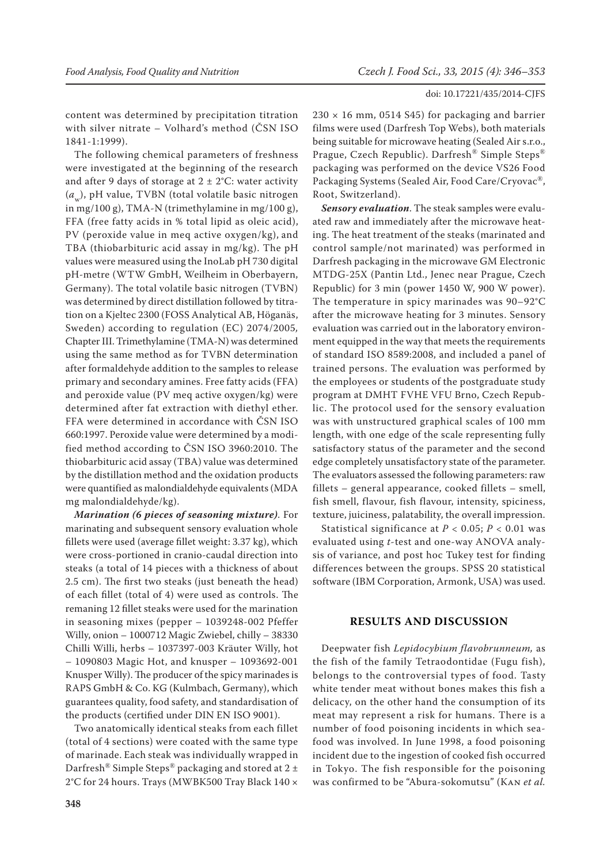content was determined by precipitation titration with silver nitrate – Volhard's method (ČSN ISO 1841-1:1999).

The following chemical parameters of freshness were investigated at the beginning of the research and after 9 days of storage at  $2 \pm 2$ °C: water activity (a<sub>w</sub>), pH value, TVBN (total volatile basic nitrogen in mg/100 g), TMA-N (trimethylamine in mg/100 g), FFA (free fatty acids in % total lipid as oleic acid), PV (peroxide value in meq active oxygen/kg), and TBA (thiobarbituric acid assay in mg/kg). The pH values were measured using the InoLab pH 730 digital pH-metre (WTW GmbH, Weilheim in Oberbayern, Germany). The total volatile basic nitrogen (TVBN) was determined by direct distillation followed by titration on a Kjeltec 2300 (FOSS Analytical AB, Höganäs, Sweden) according to regulation (EC) 2074/2005*,*  Chapter III.Trimethylamine (TMA-N) was determined using the same method as for TVBN determination after formaldehyde addition to the samples to release primary and secondary amines. Free fatty acids (FFA) and peroxide value (PV meq active oxygen/kg) were determined after fat extraction with diethyl ether. FFA were determined in accordance with ČSN ISO 660:1997. Peroxide value were determined by a modified method according to ČSN ISO 3960:2010. The thiobarbituric acid assay (TBA) value was determined by the distillation method and the oxidation products were quantified as malondialdehyde equivalents (MDA mg malondialdehyde/kg).

*Marination (6 pieces of seasoning mixture)*. For marinating and subsequent sensory evaluation whole fillets were used (average fillet weight: 3.37 kg), which were cross-portioned in cranio-caudal direction into steaks (a total of 14 pieces with a thickness of about 2.5 cm). The first two steaks (just beneath the head) of each fillet (total of 4) were used as controls. The remaning 12 fillet steaks were used for the marination in seasoning mixes (pepper – 1039248-002 Pfeffer Willy, onion – 1000712 Magic Zwiebel, chilly – 38330 Chilli Willi, herbs – 1037397-003 Kräuter Willy, hot – 1090803 Magic Hot, and knusper – 1093692-001 Knusper Willy). The producer of the spicy marinades is RAPS GmbH & Co. KG (Kulmbach, Germany), which guarantees quality, food safety, and standardisation of the products (certified under DIN EN ISO 9001).

Two anatomically identical steaks from each fillet (total of 4 sections) were coated with the same type of marinade. Each steak was individually wrapped in Darfresh<sup>®</sup> Simple Steps<sup>®</sup> packaging and stored at 2  $\pm$ 2°C for 24 hours. Trays (MWBK500 Tray Black 140 ×  $230 \times 16$  mm, 0514 S45) for packaging and barrier films were used (Darfresh Top Webs), both materials being suitable for microwave heating (Sealed Air s.r.o., Prague, Czech Republic). Darfresh® Simple Steps® packaging was performed on the device VS26 Food Packaging Systems (Sealed Air, Food Care/Cryovac®, Root, Switzerland).

*Sensory evaluation*. The steak samples were evaluated raw and immediately after the microwave heating. The heat treatment of the steaks (marinated and control sample/not marinated) was performed in Darfresh packaging in the microwave GM Electronic MTDG-25X (Pantin Ltd., Jenec near Prague, Czech Republic) for 3 min (power 1450 W, 900 W power). The temperature in spicy marinades was 90–92°C after the microwave heating for 3 minutes. Sensory evaluation was carried out in the laboratory environment equipped in the way that meets the requirements of standard ISO 8589:2008, and included a panel of trained persons. The evaluation was performed by the employees or students of the postgraduate study program at DMHT FVHE VFU Brno, Czech Republic. The protocol used for the sensory evaluation was with unstructured graphical scales of 100 mm length, with one edge of the scale representing fully satisfactory status of the parameter and the second edge completely unsatisfactory state of the parameter. The evaluators assessed the following parameters: raw fillets – general appearance, cooked fillets – smell, fish smell, flavour, fish flavour, intensity, spiciness, texture, juiciness, palatability, the overall impression.

Statistical significance at  $P < 0.05$ ;  $P < 0.01$  was evaluated using *t*-test and one-way ANOVA analysis of variance, and post hoc Tukey test for finding differences between the groups. SPSS 20 statistical software (IBM Corporation, Armonk, USA) was used.

## **RESULTS AND DISCUSSION**

Deepwater fish *Lepidocybium flavobrunneum,* as the fish of the family Tetraodontidae (Fugu fish), belongs to the controversial types of food. Tasty white tender meat without bones makes this fish a delicacy, on the other hand the consumption of its meat may represent a risk for humans. There is a number of food poisoning incidents in which seafood was involved. In June 1998, a food poisoning incident due to the ingestion of cooked fish occurred in Tokyo. The fish responsible for the poisoning was confirmed to be "Abura-sokomutsu" (Kan *et al.*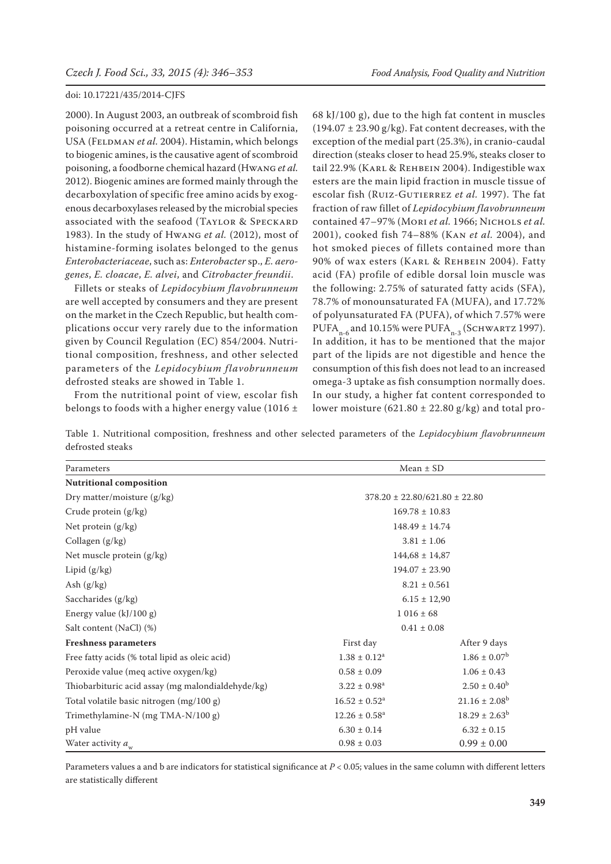2000). In August 2003, an outbreak of scombroid fish poisoning occurred at a retreat centre in California, USA (FELDMAN et al. 2004). Histamin, which belongs to biogenic amines, is the causative agent of scombroid poisoning, a foodborne chemical hazard (Hwang *et al.* 2012). Biogenic amines are formed mainly through the decarboxylation of specific free amino acids by exogenous decarboxylases released by the microbial species associated with the seafood (Taylor & Speckard 1983). In the study of Hwang *et al.* (2012), most of histamine-forming isolates belonged to the genus *Enterobacteriaceae*, such as: *Enterobacter* sp., *E. aerogenes*, *E. cloacae*, *E. alvei*, and *Citrobacter freundii*.

Fillets or steaks of *Lepidocybium flavobrunneum* are well accepted by consumers and they are present on the market in the Czech Republic, but health complications occur very rarely due to the information given by Council Regulation (EC) 854/2004. Nutritional composition, freshness, and other selected parameters of the *Lepidocybium flavobrunneum* defrosted steaks are showed in Table 1.

From the nutritional point of view, escolar fish belongs to foods with a higher energy value (1016  $\pm$  68 kJ/100 g), due to the high fat content in muscles  $(194.07 \pm 23.90 \text{ g/kg})$ . Fat content decreases, with the exception of the medial part (25.3%), in cranio-caudal direction (steaks closer to head 25.9%, steaks closer to tail 22.9% (Karl & Rehbein 2004). Indigestible wax esters are the main lipid fraction in muscle tissue of escolar fish (RUIZ-GUTIERREZ et al. 1997). The fat fraction of raw fillet of *Lepidocybium flavobrunneum* contained 47–97% (Mori *et al.* 1966; Nichols *et al.* 2001), cooked fish 74–88% (Kan *et al.* 2004), and hot smoked pieces of fillets contained more than 90% of wax esters (Karl & Rehbein 2004). Fatty acid (FA) profile of edible dorsal loin muscle was the following: 2.75% of saturated fatty acids (SFA), 78.7% of monounsaturated FA (MUFA), and 17.72% of polyunsaturated FA (PUFA), of which 7.57% were PUFA $_{n-6}$  and 10.15% were PUFA $_{n-3}$  (Schwartz 1997). In addition, it has to be mentioned that the major part of the lipids are not digestible and hence the consumption of this fish does not lead to an increased omega-3 uptake as fish consumption normally does. In our study, a higher fat content corresponded to lower moisture (621.80  $\pm$  22.80 g/kg) and total pro-

Table 1. Nutritional composition, freshness and other selected parameters of the *Lepidocybium flavobrunneum* defrosted steaks

| Parameters                                        | $Mean \pm SD$                       |                          |  |  |
|---------------------------------------------------|-------------------------------------|--------------------------|--|--|
| <b>Nutritional composition</b>                    |                                     |                          |  |  |
| Dry matter/moisture (g/kg)                        | $378.20 \pm 22.80/621.80 \pm 22.80$ |                          |  |  |
| Crude protein (g/kg)                              | $169.78 \pm 10.83$                  |                          |  |  |
| Net protein $(g/kg)$                              | $148.49 \pm 14.74$                  |                          |  |  |
| Collagen $(g/kg)$                                 | $3.81 \pm 1.06$                     |                          |  |  |
| Net muscle protein (g/kg)                         | $144,68 \pm 14,87$                  |                          |  |  |
| Lipid $(g/kg)$                                    | $194.07 \pm 23.90$                  |                          |  |  |
| Ash $(g/kg)$                                      | $8.21 \pm 0.561$                    |                          |  |  |
| Saccharides (g/kg)                                | $6.15 \pm 12,90$                    |                          |  |  |
| Energy value $(kJ/100 g)$                         | $1016 \pm 68$                       |                          |  |  |
| Salt content (NaCl) (%)                           | $0.41 \pm 0.08$                     |                          |  |  |
| <b>Freshness parameters</b>                       | First day                           | After 9 days             |  |  |
| Free fatty acids (% total lipid as oleic acid)    | $1.38 \pm 0.12^a$                   | $1.86 \pm 0.07^b$        |  |  |
| Peroxide value (meq active oxygen/kg)             | $0.58 \pm 0.09$                     | $1.06 \pm 0.43$          |  |  |
| Thiobarbituric acid assay (mg malondialdehyde/kg) | $3.22 \pm 0.98^a$                   | $2.50 \pm 0.40^b$        |  |  |
| Total volatile basic nitrogen (mg/100 g)          | $16.52 \pm 0.52^a$                  | $21.16 \pm 2.08^b$       |  |  |
| Trimethylamine-N (mg TMA-N/100 g)                 | $12.26 \pm 0.58$ <sup>a</sup>       | $18.29 \pm 2.63^{\rm b}$ |  |  |
| pH value                                          | $6.30 \pm 0.14$                     | $6.32 \pm 0.15$          |  |  |
| Water activity $a_{w}$                            | $0.98\pm0.03$                       | $0.99 \pm 0.00$          |  |  |

Parameters values a and b are indicators for statistical significance at *P* < 0.05; values in the same column with different letters are statistically different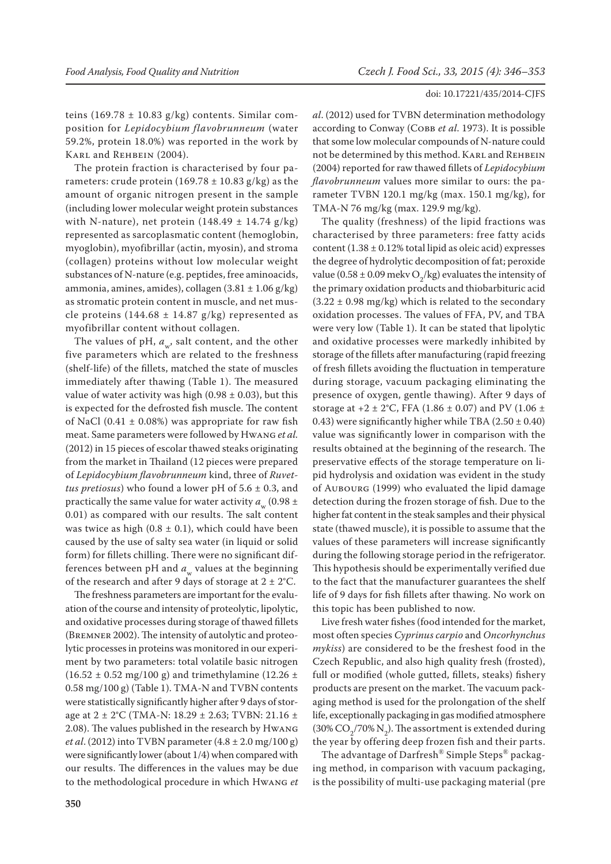teins (169.78  $\pm$  10.83 g/kg) contents. Similar composition for *Lepidocybium flavobrunneum* (water 59.2%, protein 18.0%) was reported in the work by Karl and Rehbein (2004).

The protein fraction is characterised by four parameters: crude protein  $(169.78 \pm 10.83 \text{ g/kg})$  as the amount of organic nitrogen present in the sample (including lower molecular weight protein substances with N-nature), net protein  $(148.49 \pm 14.74 \text{ g/kg})$ represented as sarcoplasmatic content (hemoglobin, myoglobin), myofibrillar (actin, myosin), and stroma (collagen) proteins without low molecular weight substances of N-nature (e.g. peptides, free aminoacids, ammonia, amines, amides), collagen  $(3.81 \pm 1.06 \text{ g/kg})$ as stromatic protein content in muscle, and net muscle proteins (144.68  $\pm$  14.87 g/kg) represented as myofibrillar content without collagen.

The values of pH,  $a_{\ldots}$ , salt content, and the other five parameters which are related to the freshness (shelf-life) of the fillets, matched the state of muscles immediately after thawing (Table 1). The measured value of water activity was high (0.98  $\pm$  0.03), but this is expected for the defrosted fish muscle. The content of NaCl (0.41  $\pm$  0.08%) was appropriate for raw fish meat. Same parameters were followed by Hwang *et al.* (2012) in 15 pieces of escolar thawed steaks originating from the market in Thailand (12 pieces were prepared of *Lepidocybium flavobrunneum* kind, three of *Ruvettus pretiosus*) who found a lower pH of 5.6 ± 0.3, and practically the same value for water activity  $a(0.98 \pm$ 0.01) as compared with our results. The salt content was twice as high  $(0.8 \pm 0.1)$ , which could have been caused by the use of salty sea water (in liquid or solid form) for fillets chilling. There were no significant differences between pH and  $a_w$  values at the beginning of the research and after 9 days of storage at  $2 \pm 2$ °C.

The freshness parameters are important for the evaluation of the course and intensity of proteolytic, lipolytic, and oxidative processes during storage of thawed fillets (Bremner 2002). The intensity of autolytic and proteolytic processes in proteins was monitored in our experiment by two parameters: total volatile basic nitrogen  $(16.52 \pm 0.52 \text{ mg}/100 \text{ g})$  and trimethylamine  $(12.26 \pm 0.52 \text{ mg})$ 0.58 mg/100 g) (Table 1). TMA-N and TVBN contents were statistically significantly higher after 9 days of storage at 2 ± 2°C (TMA-N: 18.29 ± 2.63; TVBN: 21.16 ± 2.08). The values published in the research by Hwang *et al*. (2012) into TVBN parameter (4.8 ± 2.0 mg/100 g) were significantly lower (about 1/4) when compared with our results. The differences in the values may be due to the methodological procedure in which Hwang *et* 

*al*. (2012) used for TVBN determination methodology according to Conway (Совв *et al.* 1973). It is possible that some low molecular compounds of N-nature could not be determined by this method. KARL and REHBEIN (2004) reported for raw thawed fillets of *Lepidocybium flavobrunneum* values more similar to ours: the parameter TVBN 120.1 mg/kg (max. 150.1 mg/kg), for TMA-N 76 mg/kg (max. 129.9 mg/kg).

The quality (freshness) of the lipid fractions was characterised by three parameters: free fatty acids content  $(1.38 \pm 0.12\%$  total lipid as oleic acid) expresses the degree of hydrolytic decomposition of fat; peroxide value (0.58  $\pm$  0.09 mekv O<sub>2</sub>/kg) evaluates the intensity of the primary oxidation products and thiobarbituric acid  $(3.22 \pm 0.98 \text{ mg/kg})$  which is related to the secondary oxidation processes. The values of FFA, PV, and TBA were very low (Table 1). It can be stated that lipolytic and oxidative processes were markedly inhibited by storage of the fillets after manufacturing (rapid freezing of fresh fillets avoiding the fluctuation in temperature during storage, vacuum packaging eliminating the presence of oxygen, gentle thawing). After 9 days of storage at  $+2 \pm 2$ °C, FFA (1.86  $\pm$  0.07) and PV (1.06  $\pm$ 0.43) were significantly higher while TBA  $(2.50 \pm 0.40)$ value was significantly lower in comparison with the results obtained at the beginning of the research. The preservative effects of the storage temperature on lipid hydrolysis and oxidation was evident in the study of Aubourg (1999) who evaluated the lipid damage detection during the frozen storage of fish. Due to the higher fat content in the steak samples and their physical state (thawed muscle), it is possible to assume that the values of these parameters will increase significantly during the following storage period in the refrigerator. This hypothesis should be experimentally verified due to the fact that the manufacturer guarantees the shelf life of 9 days for fish fillets after thawing. No work on this topic has been published to now.

Live fresh water fishes (food intended for the market, most often species *Cyprinus carpio* and *Oncorhynchus mykiss*) are considered to be the freshest food in the Czech Republic, and also high quality fresh (frosted), full or modified (whole gutted, fillets, steaks) fishery products are present on the market. The vacuum packaging method is used for the prolongation of the shelf life, exceptionally packaging in gas modified atmosphere  $(30\% \text{ CO}_2/70\% \text{ N}_2)$ . The assortment is extended during the year by offering deep frozen fish and their parts.

The advantage of Darfresh® Simple Steps® packaging method, in comparison with vacuum packaging, is the possibility of multi-use packaging material (pre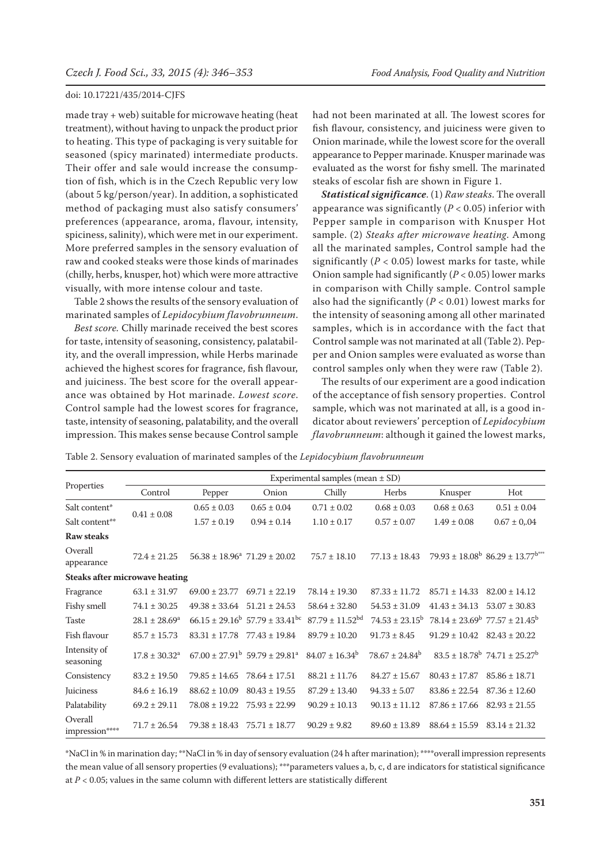made tray + web) suitable for microwave heating (heat treatment), without having to unpack the product prior to heating. This type of packaging is very suitable for seasoned (spicy marinated) intermediate products. Their offer and sale would increase the consumption of fish, which is in the Czech Republic very low (about 5 kg/person/year). In addition, a sophisticated method of packaging must also satisfy consumers' preferences (appearance, aroma, flavour, intensity, spiciness, salinity), which were met in our experiment. More preferred samples in the sensory evaluation of raw and cooked steaks were those kinds of marinades (chilly, herbs, knusper, hot) which were more attractive visually, with more intense colour and taste.

Table 2 shows the results of the sensory evaluation of marinated samples of *Lepidocybium flavobrunneum*.

*Best score.* Chilly marinade received the best scores for taste, intensity of seasoning, consistency, palatability, and the overall impression, while Herbs marinade achieved the highest scores for fragrance, fish flavour, and juiciness. The best score for the overall appearance was obtained by Hot marinade. *Lowest score*. Control sample had the lowest scores for fragrance, taste, intensity of seasoning, palatability, and the overall impression. This makes sense because Control sample had not been marinated at all. The lowest scores for fish flavour, consistency, and juiciness were given to Onion marinade, while the lowest score for the overall appearance to Pepper marinade. Knusper marinade was evaluated as the worst for fishy smell. The marinated steaks of escolar fish are shown in Figure 1.

*Statistical significance*. (1) *Raw steaks*. The overall appearance was significantly  $(P < 0.05)$  inferior with Pepper sample in comparison with Knusper Hot sample. (2) *Steaks after microwave heating*. Among all the marinated samples, Control sample had the significantly ( $P < 0.05$ ) lowest marks for taste, while Onion sample had significantly (*P* < 0.05) lower marks in comparison with Chilly sample. Control sample also had the significantly (*P* < 0.01) lowest marks for the intensity of seasoning among all other marinated samples, which is in accordance with the fact that Control sample was not marinated at all (Table 2). Pepper and Onion samples were evaluated as worse than control samples only when they were raw (Table 2).

The results of our experiment are a good indication of the acceptance of fish sensory properties. Control sample, which was not marinated at all, is a good indicator about reviewers' perception of *Lepidocybium flavobrunneum*: although it gained the lowest marks,

Table 2. Sensory evaluation of marinated samples of the *Lepidocybium flavobrunneum*

| Properties                            | Experimental samples (mean $\pm$ SD) |                                       |                                                           |                        |                           |                                                     |                                                             |  |
|---------------------------------------|--------------------------------------|---------------------------------------|-----------------------------------------------------------|------------------------|---------------------------|-----------------------------------------------------|-------------------------------------------------------------|--|
|                                       | Control                              | Pepper                                | Onion                                                     | Chilly                 | Herbs                     | Knusper                                             | Hot                                                         |  |
| Salt content*                         | $0.41\pm0.08$                        | $0.65 \pm 0.03$                       | $0.65 \pm 0.04$                                           | $0.71 \pm 0.02$        | $0.68 \pm 0.03$           | $0.68 \pm 0.63$                                     | $0.51 \pm 0.04$                                             |  |
| Salt content**                        |                                      | $1.57 \pm 0.19$                       | $0.94 \pm 0.14$                                           | $1.10 \pm 0.17$        | $0.57 \pm 0.07$           | $1.49 \pm 0.08$                                     | $0.67 \pm 0.04$                                             |  |
| <b>Raw steaks</b>                     |                                      |                                       |                                                           |                        |                           |                                                     |                                                             |  |
| Overall<br>appearance                 | $72.4 \pm 21.25$                     | $56.38 \pm 18.96^a$ 71.29 $\pm$ 20.02 |                                                           | $75.7 \pm 18.10$       | $77.13 \pm 18.43$         |                                                     | $79.93 \pm 18.08^{\rm b}$ 86.29 $\pm$ 13.77 <sup>b***</sup> |  |
| <b>Steaks after microwave heating</b> |                                      |                                       |                                                           |                        |                           |                                                     |                                                             |  |
| Fragrance                             | $63.1 \pm 31.97$                     | $69.00 \pm 23.77$                     | $69.71 \pm 22.19$                                         | $78.14 \pm 19.30$      | $87.33 \pm 11.72$         | $85.71 \pm 14.33$                                   | $82.00 \pm 14.12$                                           |  |
| Fishy smell                           | $74.1 \pm 30.25$                     | $49.38 \pm 33.64$ $51.21 \pm 24.53$   |                                                           | $58.64 \pm 32.80$      | $54.53 \pm 31.09$         | $41.43 \pm 34.13$                                   | $53.07 \pm 30.83$                                           |  |
| <b>Taste</b>                          | $28.1 \pm 28.69^a$                   |                                       | $66.15 \pm 29.16^{\circ}$ 57.79 $\pm$ 33.41 <sup>bc</sup> | $87.79 \pm 11.52^{bd}$ | $74.53 \pm 23.15^{\circ}$ | $78.14 \pm 23.69^{\circ}$ $77.57 \pm 21.45^{\circ}$ |                                                             |  |
| Fish flavour                          | $85.7 \pm 15.73$                     | $83.31 \pm 17.78$                     | $77.43 \pm 19.84$                                         | $89.79 \pm 10.20$      | $91.73 \pm 8.45$          | $91.29 \pm 10.42$                                   | $82.43 \pm 20.22$                                           |  |
| Intensity of<br>seasoning             | $17.8 \pm 30.32^{\circ}$             |                                       | $67.00 \pm 27.91^{\rm b}$ 59.79 $\pm$ 29.81 <sup>a</sup>  | $84.07 \pm 16.34^b$    | $78.67 \pm 24.84^b$       |                                                     | $83.5 \pm 18.78^{\circ}$ 74.71 $\pm 25.27^{\circ}$          |  |
| Consistency                           | $83.2 \pm 19.50$                     | $79.85 \pm 14.65$                     | $78.64 \pm 17.51$                                         | $88.21 \pm 11.76$      | $84.27 \pm 15.67$         | $80.43 \pm 17.87$                                   | $85.86 \pm 18.71$                                           |  |
| Juiciness                             | $84.6 \pm 16.19$                     | $88.62 \pm 10.09$                     | $80.43 \pm 19.55$                                         | $87.29 \pm 13.40$      | $94.33 \pm 5.07$          | $83.86 \pm 22.54$ $87.36 \pm 12.60$                 |                                                             |  |
| Palatability                          | $69.2 \pm 29.11$                     | $78.08 \pm 19.22$                     | $75.93 \pm 22.99$                                         | $90.29 \pm 10.13$      | $90.13 \pm 11.12$         | $87.86 \pm 17.66$                                   | $82.93 \pm 21.55$                                           |  |
| Overall<br>impression****             | $71.7 \pm 26.54$                     | $79.38 \pm 18.43$                     | $75.71 \pm 18.77$                                         | $90.29 \pm 9.82$       | $89.60 \pm 13.89$         | $88.64 \pm 15.59$                                   | $83.14 \pm 21.32$                                           |  |

\*NaCl in % in marination day; \*\*NaCl in % in day of sensory evaluation (24 h after marination); \*\*\*\*overall impression represents the mean value of all sensory properties (9 evaluations); \*\*\*parameters values a, b, c, d are indicators for statistical significance at  $P < 0.05$ ; values in the same column with different letters are statistically different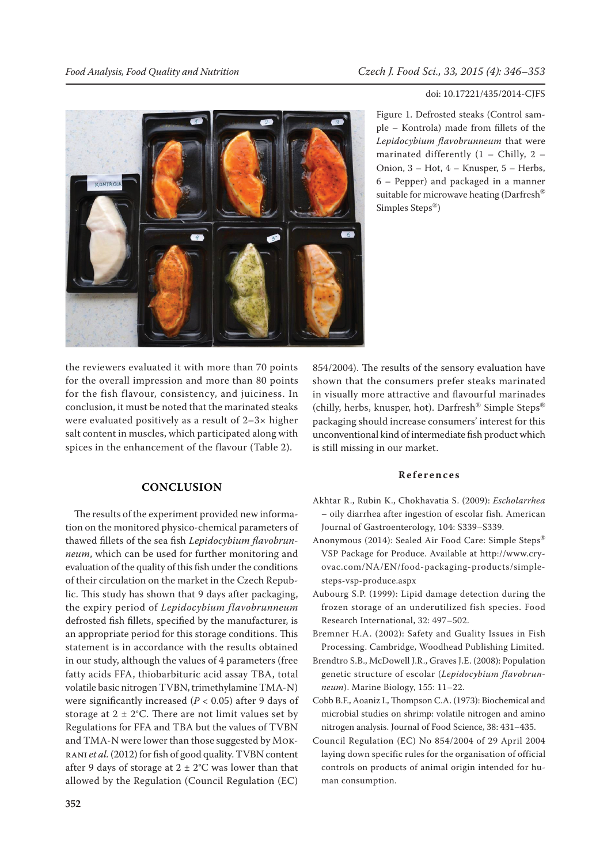**UQ OTIZON** 

Figure 1. Defrosted steaks (Control sample – Kontrola) made from fillets of the *Lepidocybium flavobrunneum* that were marinated differently (1 – Chilly, 2 – Onion, 3 – Hot, 4 – Knusper, 5 – Herbs, 6 – Pepper) and packaged in a manner suitable for microwave heating (Darfresh<sup>®</sup> Simples Steps®)

the reviewers evaluated it with more than 70 points for the overall impression and more than 80 points for the fish flavour, consistency, and juiciness. In conclusion, it must be noted that the marinated steaks were evaluated positively as a result of 2–3× higher salt content in muscles, which participated along with spices in the enhancement of the flavour (Table 2).

## **CONCLUSION**

The results of the experiment provided new information on the monitored physico-chemical parameters of thawed fillets of the sea fish *Lepidocybium flavobrunneum*, which can be used for further monitoring and evaluation of the quality of this fish under the conditions of their circulation on the market in the Czech Republic. This study has shown that 9 days after packaging, the expiry period of *Lepidocybium flavobrunneum* defrosted fish fillets, specified by the manufacturer, is an appropriate period for this storage conditions. This statement is in accordance with the results obtained in our study, although the values of 4 parameters (free fatty acids FFA, thiobarbituric acid assay TBA, total volatile basic nitrogen TVBN, trimethylamine TMA-N) were significantly increased (*P* < 0.05) after 9 days of storage at  $2 \pm 2$ °C. There are not limit values set by Regulations for FFA and TBA but the values of TVBN and TMA-N were lower than those suggested by Mokrani *et al.* (2012) for fish of good quality. TVBN content after 9 days of storage at  $2 \pm 2$ °C was lower than that allowed by the Regulation (Council Regulation (EC)

854/2004). The results of the sensory evaluation have shown that the consumers prefer steaks marinated in visually more attractive and flavourful marinades (chilly, herbs, knusper, hot). Darfresh<sup>®</sup> Simple Steps<sup>®</sup> packaging should increase consumers' interest for this unconventional kind of intermediate fish product which is still missing in our market.

#### **References**

- Akhtar R., Rubin K., Chokhavatia S. (2009): *Escholarrhea* – oily diarrhea after ingestion of escolar fish. American Journal of Gastroenterology, 104: S339–S339.
- Anonymous (2014): Sealed Air Food Care: Simple Steps® VSP Package for Produce. Available at http://www.cryovac.com/NA/EN/food-packaging-products/simplesteps-vsp-produce.aspx
- Aubourg S.P. (1999): Lipid damage detection during the frozen storage of an underutilized fish species. Food Research International, 32: 497–502.
- Bremner H.A. (2002): Safety and Guality Issues in Fish Processing. Cambridge, Woodhead Publishing Limited.
- Brendtro S.B., McDowell J.R., Graves J.E. (2008): Population genetic structure of escolar (*Lepidocybium flavobrunneum*). Marine Biology, 155: 11–22.
- Cobb B.F., Aoaniz I., Thompson C.A. (1973): Biochemical and microbial studies on shrimp: volatile nitrogen and amino nitrogen analysis. Journal of Food Science, 38: 431–435.
- Council Regulation (EC) No 854/2004 of 29 April 2004 laying down specific rules for the organisation of official controls on products of animal origin intended for human consumption.